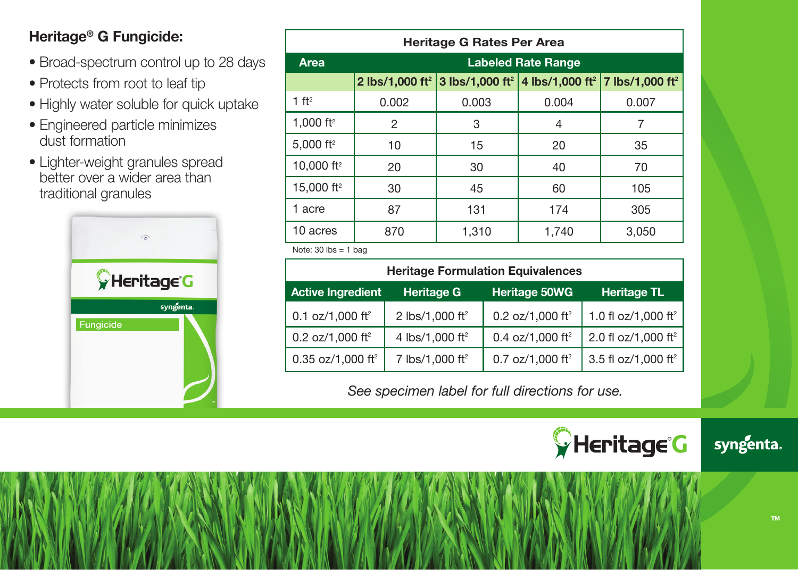## **Heritage® G Fungicide:**

- Broad-spectrum control up to 28 days
- Protects from root to leaf tip
- Highly water soluble for quick uptake
- Engineered particle minimizes dust formation
- Lighter-weight granules spread better over a wider area than traditional granules



| Heritage G Rates Per Area |                             |       |                                                                                         |       |  |  |  |
|---------------------------|-----------------------------|-------|-----------------------------------------------------------------------------------------|-------|--|--|--|
| Area                      | <b>Labeled Rate Range</b>   |       |                                                                                         |       |  |  |  |
|                           | 2 lbs/1,000 ft <sup>2</sup> |       | 3 lbs/1,000 ft <sup>2</sup>   4 lbs/1,000 ft <sup>2</sup>   7 lbs/1,000 ft <sup>2</sup> |       |  |  |  |
| 1 ft <sup>2</sup>         | 0.002                       | 0.003 | 0.004                                                                                   | 0.007 |  |  |  |
| 1.000 ft <sup>2</sup>     | 2                           | 3     | 4                                                                                       | 7     |  |  |  |
| 5.000 ft <sup>2</sup>     | 10                          | 15    | 20                                                                                      | 35    |  |  |  |
| 10.000 ft <sup>2</sup>    | 20                          | 30    | 40                                                                                      | 70    |  |  |  |
| 15,000 ft <sup>2</sup>    | 30                          | 45    | 60                                                                                      | 105   |  |  |  |
| 1 acre                    | 87                          | 131   | 174                                                                                     | 305   |  |  |  |
| 10 acres                  | 870                         | 1,310 | 1,740                                                                                   | 3,050 |  |  |  |

Note:  $30$  lbs = 1 bag

| <b>Heritage Formulation Equivalences</b> |                             |                              |                                 |  |  |  |  |  |
|------------------------------------------|-----------------------------|------------------------------|---------------------------------|--|--|--|--|--|
| <b>Active Ingredient</b>                 | <b>Heritage G</b>           | <b>Heritage 50WG</b>         | <b>Heritage TL</b>              |  |  |  |  |  |
| 0.1 oz/1,000 ft <sup>2</sup>             | 2 lbs/1,000 ft <sup>2</sup> | 0.2 oz/1,000 ft <sup>2</sup> | 1.0 fl oz/1,000 ft <sup>2</sup> |  |  |  |  |  |
| 0.2 oz/1,000 ft <sup>2</sup>             | 4 lbs/1,000 ft <sup>2</sup> | 0.4 oz/1,000 ft <sup>2</sup> | 2.0 fl oz/1,000 ft <sup>2</sup> |  |  |  |  |  |
| $0.35$ oz/1,000 ft <sup>2</sup>          | 7 lbs/1,000 ft <sup>2</sup> | 0.7 oz/1,000 ft <sup>2</sup> | 3.5 fl oz/1,000 ft <sup>2</sup> |  |  |  |  |  |

*See specimen label for full directions for use.*



syngenta.